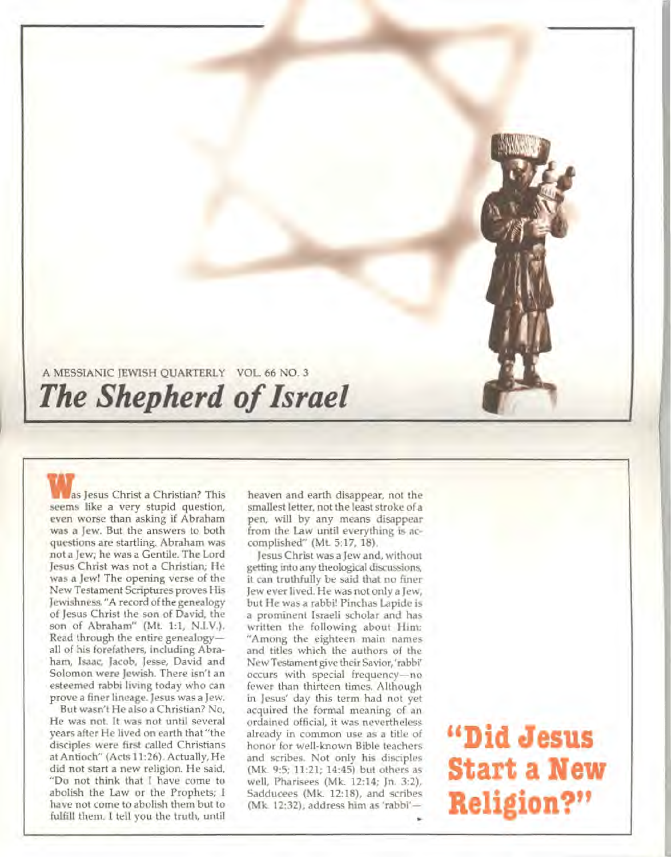### **A MESSIANIC JEWISH QUARTERLY VOL. 66 NO. 3**  *The Shepherd of Israel*

**Was Jesus Christ a Christian? This seems like a very stupid question, even worse than asking if Abraham was a Jew. But the answers to both questions are startling. Abraham was not a Jew; he was a Gentile. The Lord Jesus Christ was not a Christian; He was a Jew! The opening verse of the New Testament Scriptures proves His Jewishness. "A record of the genealogy of Jesus Christ the son of David, the son of Abraham" (Mt. 1:1, N.I.V.). Read through the entire genealogy all of his forefathers, including Abraham, Isaac, Jacob, Jesse, David and Solomon were Jewish. There isn't an esteemed rabbi living today who can prove a finer lineage. Jesus was a Jew.** 

**But wasn't He also a Christian? No, He was not. It was not until several years after He lived on earth that "the disciples were first called Christians at Antioch" (Acts 11:26). Actually, He did not start a new religion. He said, "Do not think that I have come to abolish the Law or the Prophets; I have not come to abolish them but to fulfill them. I tell you the truth, until** 

**heaven and earth disappear, not the smallest letter, not the least stroke of a pen, will by any means disappear from the Law until everything is accomplished" (Mt. 5:17, 18).** 

**Jesus Christ was a Jew and, without getting into any theological discussions, it can truthfully be said that no finer Jew ever lived. He was not only a Jew, but He was a rabbi! Pinchas Lapide is a prominent Israeli scholar and has written the following about Him: "Among the eighteen main names and titles which the authors of the New Testament give their Savior, 'rabbi occurs with special frequency—no fewer than thirteen times. Although in Jesus' day this term had not yet acquired the formal meaning of an ordained official, it was nevertheless already in common use as a title of honor for well-known Bible teachers and scribes. Not only his disciples (Mk. 9:5; 11:21; 14:45) but others as well, Pharisees (Mk. 12:14; Jn. 3:2), Sadducees (Mk. 12:18), and scribes (Mk. 12:32), address him as 'rabbi—** 

## **"Did Jesus Start a New Religion?"**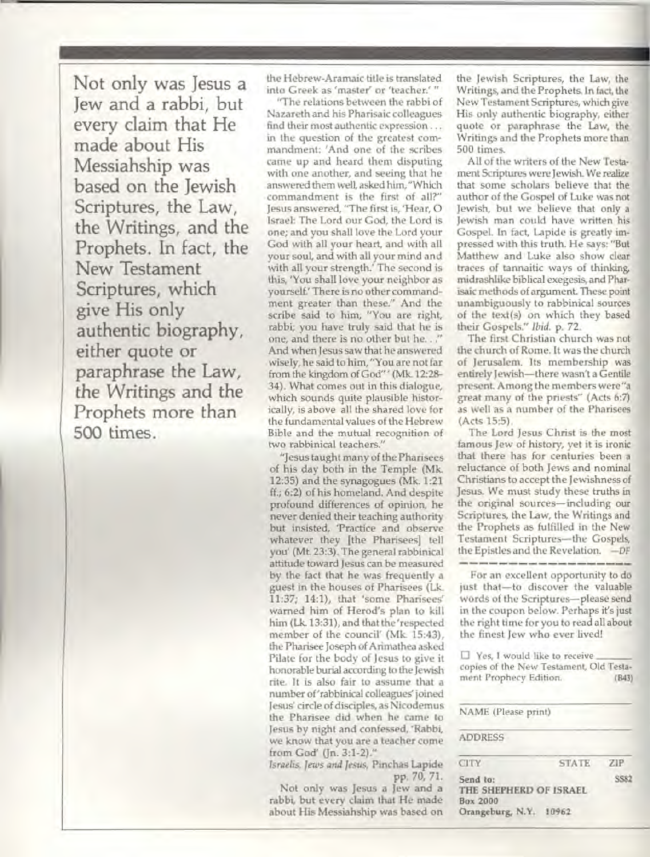**Not only was Jesus a Jew and a rabbi, but every claim that He made about His Messiahship was based on the Jewish Scriptures, the Law, the Writings, and the Prophets. In fact, the New Testament Scriptures, which give His only authentic biography, either quote or paraphrase the Law, the Writings and the Prophets more than 500** times.

the Hebrew-Aramaic title is translated into Greek as 'master' or 'teacher.' "

"The relations between the rabbi of Nazareth and his Pharisaic colleagues find their most authentic expression ... in the question of the greatest commandment: 'And one of the scribes came up and heard them disputing with one another, and seeing that he answered them well, asked him, "Which commandment is the first of all?" Jesus answered, "The first is, 'Hear, 0 Israel: The Lord our God, the Lord is one; and you shall love the Lord your God with all your heart, and with all your soul, and with all your mind and with all your strength.' The second is this, 'You shall love your neighbor as yourself.' There is no other commandment greater than these." And the scribe said to him, "You are right, rabbi; you have truly said that he is one, and there is no other but he. . ." And when Jesus saw that he answered wisely, he said to him, "You are not far from the kingdom of God"' (Mk. 12:28- 34). What comes out in this dialogue, which sounds quite plausible historically, is above all the shared love for the fundamental values of the Hebrew Bible and the mutual recognition of two rabbinical teachers."

"Jesus taught many of the Pharisees of his day both in the Temple (Mk 12:35) and the synagogues (Mk. 1:21 ff.; 6:2) of his homeland. And despite profound differences of opinion, he never denied their teaching authority but insisted, Practice and observe whatever they [the Pharisees] tell you' (Mt. 23:3). The general rabbinical attitude toward Jesus can be measured by the fact that he was frequently a guest in the houses of Pharisees (Lk. 11:37; 14:1), that 'some Pharisees warned him of Herod's plan to kill him (Lk. 13:31), and that the 'respected member of the council' (Mk. 15:43), the Pharisee Joseph of Arimathea asked Pilate for the body of Jesus to give it honorable burial according to the Jewish rite. It is also fair to assume that a number of 'rabbinical colleagues' joined Jesus circle of disciples, as Nicodemus the Pharisee did when he came to Jesus by night and confessed, 'Rabbi, we know that you are a teacher come from God' (Jn. 3:1-2)."

*Israelis, Jews and Jesus,* Pinchas Lapide pp. 70, 71.

Not only was Jesus a Jew and a rabbi, but every claim that He made about His Messiahship was based on the Jewish Scriptures, the Law, the Writings, and the Prophets. In fact, the New Testament Scriptures, which give His only authentic biography, either quote or paraphrase the Law, the Writings and the Prophets more than 500 times.

All of the writers of the New Testament Scriptures were Jewish. We realize that some scholars believe that the author of the Gospel of Luke was not Jewish, but we believe that only a Jewish man could have written his Gospel. In fact, Lapide is greatly impressed with this truth. He says: "But Matthew and Luke also show clear traces of tannaitic ways of thinking, midrashlike biblical exegesis, and Pharisaic methods of argument. These point unambiguously to rabbinical sources of the text(s) on which they based their Gospels." *Ibid.* p. 72.

The first Christian church was not the church of Rome. It was the church of Jerusalem. Its membership was entirely Jewish—there wasn't a Gentile present. Among the members were"a great many of the priests" (Acts 6:7) as well as a number of the Pharisees (Acts 15:5).

The Lord Jesus Christ is the **most**  famous Jew of history, yet it is ironic that there has for centuries been a reluctance of both Jews and nominal Christians to accept the Jewishness of Jesus. We must study these truths in the original sources—including our Scriptures, the Law, the Writings and the Prophets as fulfilled in the New Testament Scriptures—the Gospels, the Epistles and the Revelation. *—DF* 

For an excellent opportunity to do just that—to discover the valuable words of the Scriptures—please send in the coupon below. Perhaps it's just the right time for you to read all about the finest Jew who ever lived!

❑ Yes, **I would like to receive copies of the New Testament, Old Testament Prophecy Edition. (B43)** 

**NAME (Please print)** 

#### **ADDRESS**

| <b>CITY</b>                        | <b>STATE</b> | ZIP. |
|------------------------------------|--------------|------|
| Send to:                           |              | SS82 |
| THE SHEPHERD OF ISRAEL             |              |      |
| Box 2000<br>Orangeburg, N.Y. 10962 |              |      |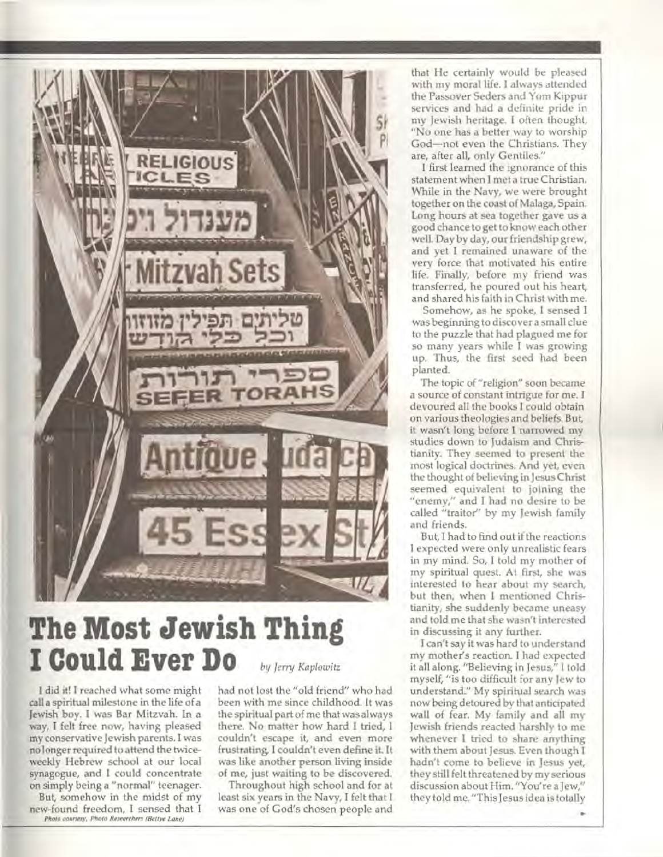

### **The Most Jewish Thing I Could Ever Do** *by Jerry Koplowitz*

I **did it! I reached what some might call a spiritual milestone in the life of a Jewish boy. I was Bar Mitzvah. In a way, I felt free now, having pleased my conservative Jewish parents. I was no longer required to attend the twiceweekly Hebrew school at our local synagogue, and I could concentrate on simply being a "normal" teenager. But, somehow in the midst of my new-found freedom, I sensed that I**  *Photo courtesy. Photo Researchers (Bettye Lane)* 

**had not lost the "old friend" who had been with me since childhood. It was the spiritual part of me that was always there. No matter how hard I tried, I couldn't escape it, and even more frustrating, I couldn't even define it. It was like another person living inside of me, just waiting to be discovered.** 

**Throughout high school and for at least six years in the Navy, I felt that I was one of God's chosen people and** 

**that He certainly would be pleased with my moral life. I always attended the Passover Seders and Yom Kippur services and had a definite** pride in my Jewish heritage. I often thought, "No one has a better way to worship God—not even the Christians. They are, after all, only Gentiles."

**I** first **learned the ignorance of this statement when I met a true Christian. While in the Navy, we were brought together on the coast of Malaga, Spain. Long hours at sea together gave us a good chance to get to know each other well. Day by day, our friendship grew, and yet I remained unaware of the very force that motivated his entire life. Finally, before my friend was transferred, he poured out his heart, and shared his faith in Christ with me.** 

**Somehow, as he spoke, I sensed I was beginning to discover a small clue to the puzzle that had plagued me for so many years while I was growing up. Thus, the first seed had been planted.** 

**The topic of "religion" soon became a source of constant intrigue for me. I devoured all the books I could obtain on various theologies and beliefs. But, it wasn't long before I narrowed my studies down to Judaism and Christianity. They seemed to present the most logical doctrines. And yet, even the thought of believing in Jesus Christ seemed equivalent to joining the "enemy," and I had no desire to be called "traitor" by my Jewish family and friends.** 

**But, I had to find out if the reactions I expected were only unrealistic fears in my mind. So, I told my mother of my spiritual quest. At first, she was interested to hear about my search, but then, when I mentioned Christianity, she suddenly became uneasy and told me that she wasn't interested in discussing it any further.** 

**I can't say it was hard to understand my mother's reaction. I had expected it all along. "Believing in Jesus," I told myself, "is too difficult for any Jew to understand." My spiritual search was now being detoured by that anticipated wall of fear. My family and all my Jewish friends reacted harshly to me whenever I tried to share anything with them about Jesus. Even though I hadn't come to believe in Jesus yet, they still felt threatened by my serious discussion about Him. "You're a Jew," they told me. "This Jesus idea is totally**